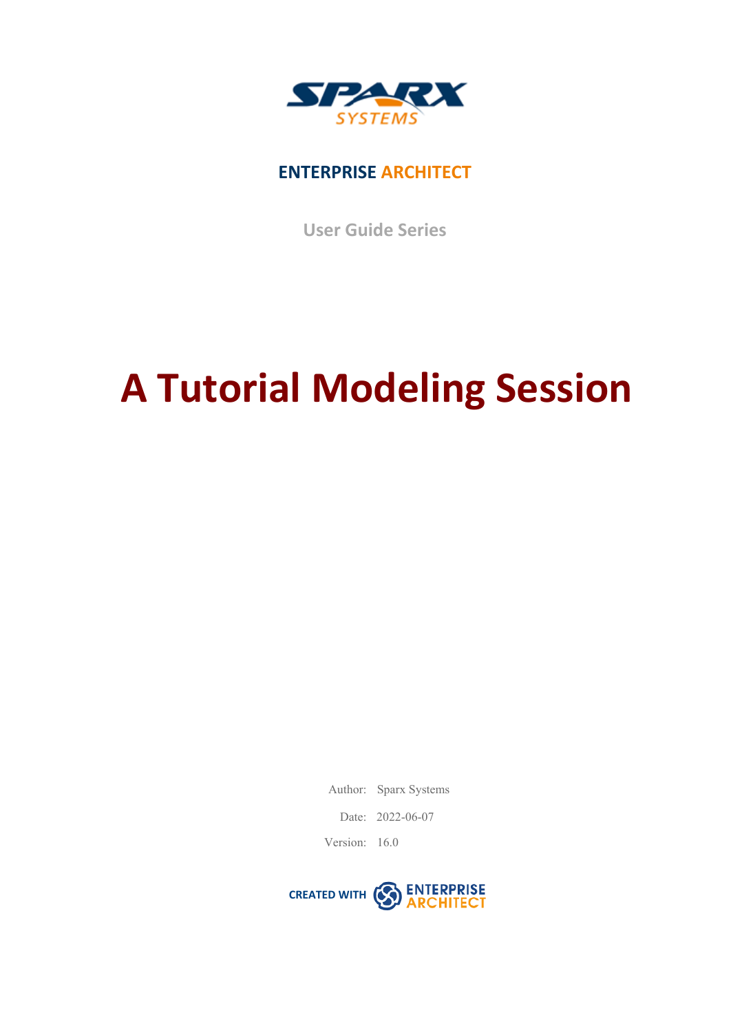

### **ENTERPRISE ARCHITECT**

**User Guide Series**

# **A Tutorial Modeling Session**

Author: Sparx Systems

Date: 2022-06-07

Version: 16.0

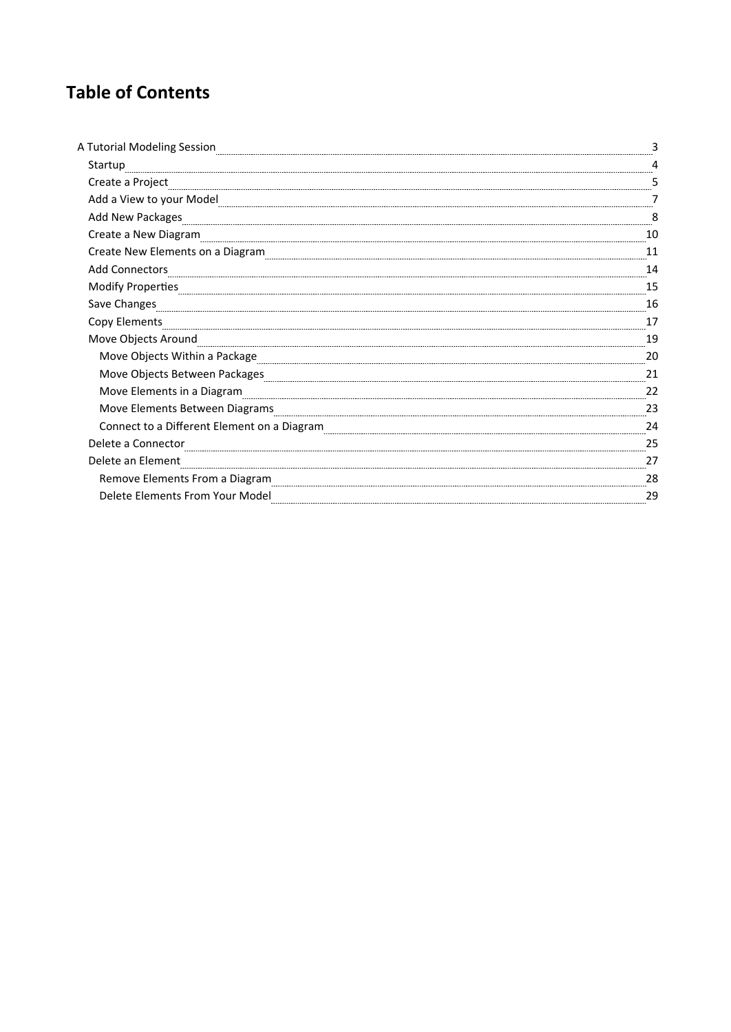# **Table of Contents**

| A Tutorial Modeling Session                                                                                                                                                                                                         |    |
|-------------------------------------------------------------------------------------------------------------------------------------------------------------------------------------------------------------------------------------|----|
| Startup                                                                                                                                                                                                                             |    |
| Create a Project                                                                                                                                                                                                                    |    |
| Add a View to your Model                                                                                                                                                                                                            |    |
| Add New Packages                                                                                                                                                                                                                    |    |
| Create a New Diagram                                                                                                                                                                                                                |    |
| Create New Elements on a Diagram                                                                                                                                                                                                    |    |
| <b>Add Connectors</b>                                                                                                                                                                                                               | 14 |
| <b>Modify Properties</b>                                                                                                                                                                                                            | 15 |
| Save Changes <b>Changes (2018)</b> Save Changes (2018) Save Changes (2018) Save Changes (2018) Save Changes (2018) Save Changes (2018) Save Changes (2018) Save Changes (2018) Save Changes (2018) Save Changes (2018) Save Changes | 16 |
| Copy Elements                                                                                                                                                                                                                       |    |
| Move Objects Around                                                                                                                                                                                                                 | 19 |
| Move Objects Within a Package                                                                                                                                                                                                       | 20 |
| Move Objects Between Packages [1989] [1989] [1989] [1989] [1989] [1989] [1989] [1989] [1989] [1989] [1989] [19                                                                                                                      | 21 |
| Move Elements in a Diagram                                                                                                                                                                                                          | 22 |
| Move Elements Between Diagrams                                                                                                                                                                                                      | 23 |
| Connect to a Different Element on a Diagram                                                                                                                                                                                         | 24 |
| Delete a Connector                                                                                                                                                                                                                  | 25 |
| Delete an Element                                                                                                                                                                                                                   | 27 |
| Remove Elements From a Diagram                                                                                                                                                                                                      | 28 |
| Delete Elements From Your Model                                                                                                                                                                                                     | 29 |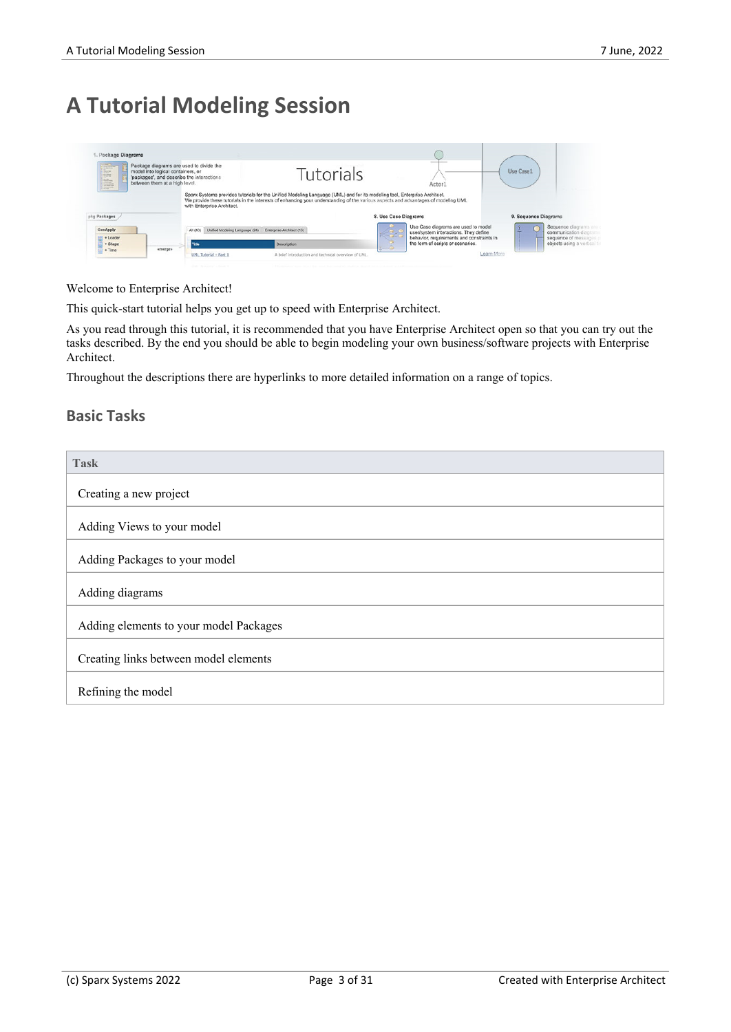# **A Tutorial Modeling Session**

| <b>COLOR</b><br>E<br>L.<br><b>CONTRACTOR</b><br><b>State</b> | Package diagrams are used to divide the<br>model into logical containers, or<br>'packages', and describe the interactions<br>between them at a high level. |                                | <b>Tutorials</b>                                                                                                          | Actor1                                                                                                                                                    | Use Case1                                    |
|--------------------------------------------------------------|------------------------------------------------------------------------------------------------------------------------------------------------------------|--------------------------------|---------------------------------------------------------------------------------------------------------------------------|-----------------------------------------------------------------------------------------------------------------------------------------------------------|----------------------------------------------|
| pkg Packages                                                 |                                                                                                                                                            | with Enterprise Architect.     | Sparx Systems provides tutorials for the Unified Modeling Language (UML) and for its modeling tool, Enterprise Architect. | We provide these tutorials in the interests of enhancing your understanding of the various aspects and advantages of modeling UML<br>8. Use Case Diagrams | 9. Sequence Diagrams                         |
| GenApply                                                     | All (40)                                                                                                                                                   | Unified Modeling Language (24) | Enterprise Architect (16)                                                                                                 | Use Case diagrams are used to model<br>user/system interactions. They define<br><b>THE REAL</b>                                                           | Sequence diagrams an<br>communication diagra |

#### Welcome to Enterprise Architect!

This quick-start tutorial helps you get up to speed with Enterprise Architect.

As you read through this tutorial, it is recommended that you have Enterprise Architect open so that you can try out the tasks described. By the end you should be able to begin modeling your own business/software projects with Enterprise Architect.

Throughout the descriptions there are hyperlinks to more detailed information on a range of topics.

#### **Basic Tasks**

| Task                                   |
|----------------------------------------|
| Creating a new project                 |
| Adding Views to your model             |
| Adding Packages to your model          |
| Adding diagrams                        |
| Adding elements to your model Packages |
| Creating links between model elements  |
| Refining the model                     |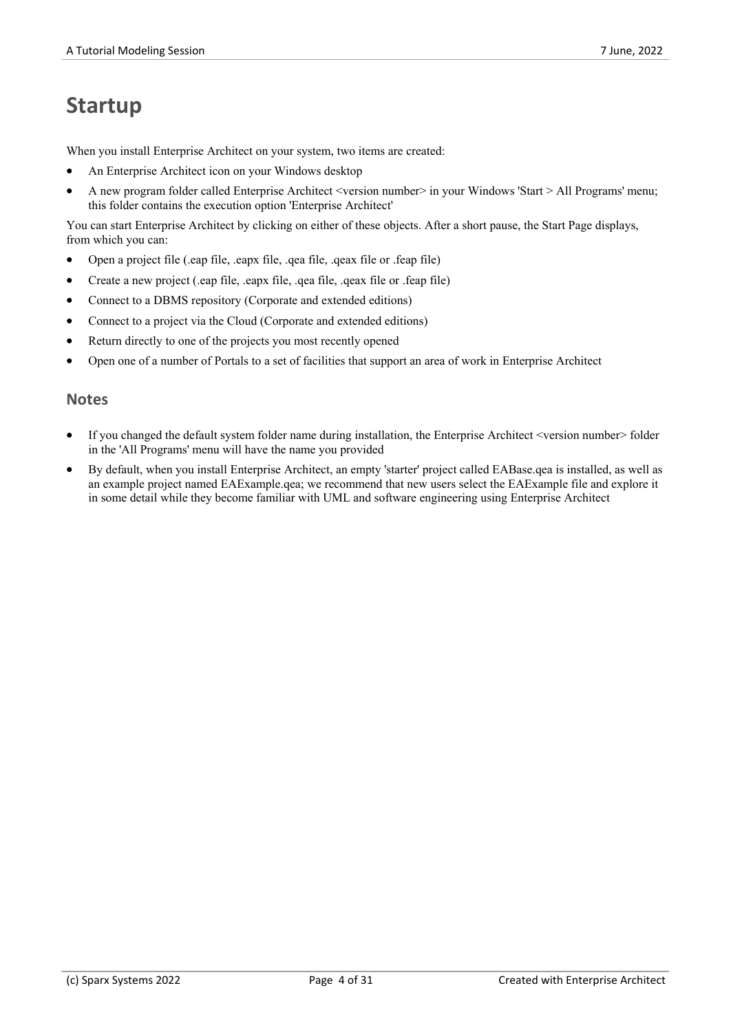# **Startup**

When you install Enterprise Architect on your system, two items are created:

- An Enterprise Architect icon on your Windows desktop
- A new program folder called Enterprise Architect <version number> in your Windows 'Start > All Programs' menu; this folder contains the execution option 'Enterprise Architect'

You can start Enterprise Architect by clicking on either of these objects. After a short pause, the Start Page displays, from which you can:

- · Open a project file (.eap file, .eapx file, .qea file, .qeax file or .feap file)
- · Create a new project (.eap file, .eapx file, .qea file, .qeax file or .feap file)
- Connect to a DBMS repository (Corporate and extended editions)
- Connect to a project via the Cloud (Corporate and extended editions)
- Return directly to one of the projects you most recently opened
- Open one of a number of Portals to a set of facilities that support an area of work in Enterprise Architect

- If you changed the default system folder name during installation, the Enterprise Architect <version number> folder in the 'All Programs' menu will have the name you provided
- · By default, when you install Enterprise Architect, an empty 'starter' project called EABase.qea is installed, as well as an example project named EAExample.qea; we recommend that new users select the EAExample file and explore it in some detail while they become familiar with UML and software engineering using Enterprise Architect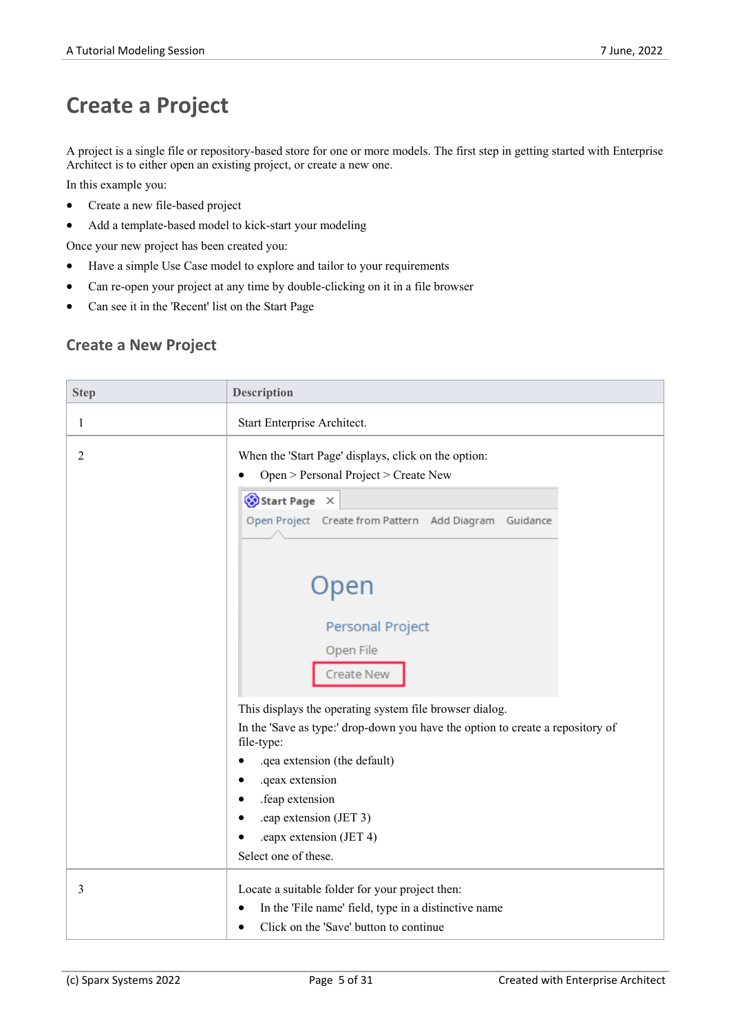# **Create a Project**

A project is a single file or repository-based store for one or more models. The first step in getting started with Enterprise Architect is to either open an existing project, or create a new one.

In this example you:

- Create a new file-based project
- · Add a template-based model to kick-start your modeling

Once your new project has been created you:

- · Have a simple Use Case model to explore and tailor to your requirements
- Can re-open your project at any time by double-clicking on it in a file browser
- Can see it in the 'Recent' list on the Start Page

#### **Create a New Project**

| <b>Step</b>    | <b>Description</b>                                                                           |  |  |
|----------------|----------------------------------------------------------------------------------------------|--|--|
| $\mathbf{1}$   | Start Enterprise Architect.                                                                  |  |  |
| $\overline{2}$ | When the 'Start Page' displays, click on the option:<br>Open > Personal Project > Create New |  |  |
|                | Start Page X<br>Open Project Create from Pattern Add Diagram Guidance                        |  |  |
|                | Open<br>Personal Project                                                                     |  |  |
|                | Open File<br><b>Create New</b>                                                               |  |  |
|                | This displays the operating system file browser dialog.                                      |  |  |
|                | In the 'Save as type:' drop-down you have the option to create a repository of<br>file-type: |  |  |
|                | .qea extension (the default)                                                                 |  |  |
|                | .qeax extension                                                                              |  |  |
|                | .feap extension                                                                              |  |  |
|                | .eap extension (JET 3)                                                                       |  |  |
|                | .eapx extension (JET 4)                                                                      |  |  |
|                | Select one of these.                                                                         |  |  |
| 3              | Locate a suitable folder for your project then:                                              |  |  |
|                | In the 'File name' field, type in a distinctive name                                         |  |  |
|                | Click on the 'Save' button to continue<br>$\bullet$                                          |  |  |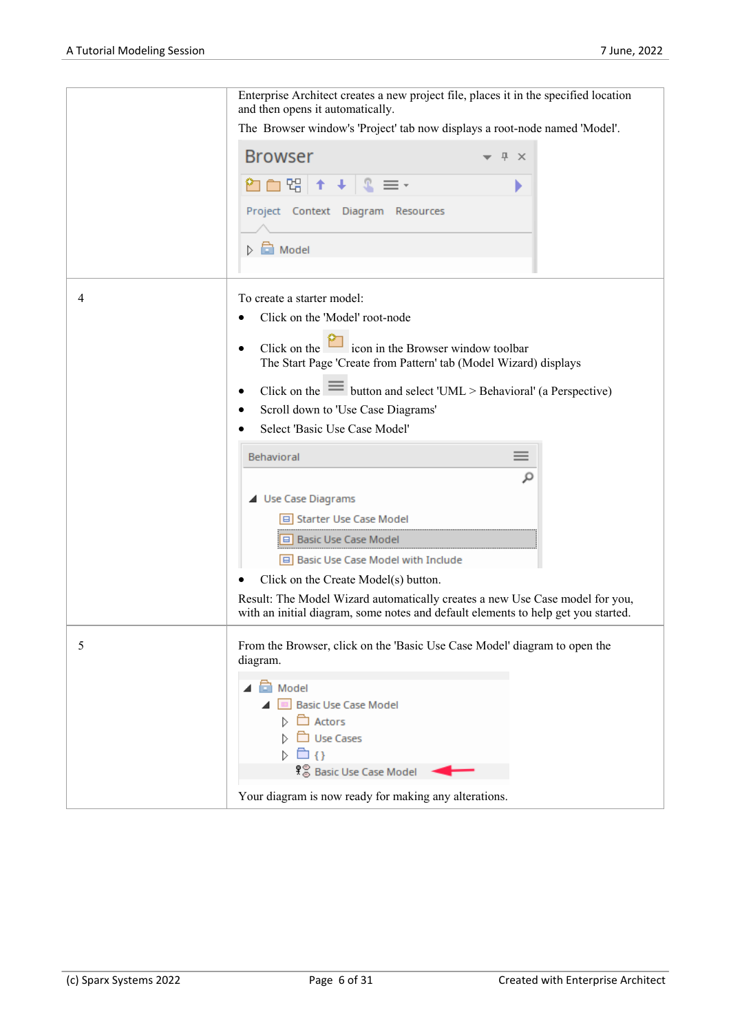|   | Enterprise Architect creates a new project file, places it in the specified location<br>and then opens it automatically.                                          |
|---|-------------------------------------------------------------------------------------------------------------------------------------------------------------------|
|   | The Browser window's 'Project' tab now displays a root-node named 'Model'.                                                                                        |
|   | <b>Browser</b><br><b>平 ×</b>                                                                                                                                      |
|   | □ 명│<br>个<br>$\equiv$ $\overline{\phantom{a}}$                                                                                                                    |
|   | Project Context Diagram Resources                                                                                                                                 |
|   | $\triangleright$ $\blacksquare$ Model                                                                                                                             |
| 4 | To create a starter model:                                                                                                                                        |
|   | Click on the 'Model' root-node<br>٠                                                                                                                               |
|   |                                                                                                                                                                   |
|   | Click on the $\Box$ icon in the Browser window toolbar<br>The Start Page 'Create from Pattern' tab (Model Wizard) displays                                        |
|   | Click on the $\equiv$ button and select 'UML > Behavioral' (a Perspective)                                                                                        |
|   | Scroll down to 'Use Case Diagrams'<br>٠                                                                                                                           |
|   | Select 'Basic Use Case Model'                                                                                                                                     |
|   | $\equiv$<br>Behavioral                                                                                                                                            |
|   | مر                                                                                                                                                                |
|   | ▲ Use Case Diagrams                                                                                                                                               |
|   | □ Starter Use Case Model                                                                                                                                          |
|   | □ Basic Use Case Model                                                                                                                                            |
|   | Basic Use Case Model with Include                                                                                                                                 |
|   | Click on the Create Model(s) button.                                                                                                                              |
|   | Result: The Model Wizard automatically creates a new Use Case model for you,<br>with an initial diagram, some notes and default elements to help get you started. |
| 5 | From the Browser, click on the 'Basic Use Case Model' diagram to open the<br>diagram.                                                                             |
|   |                                                                                                                                                                   |
|   | <b>C</b> Model<br><b>Basic Use Case Model</b><br>m                                                                                                                |
|   | □ Actors                                                                                                                                                          |
|   | Use Cases                                                                                                                                                         |
|   | ि ∢}<br>Ŋ.                                                                                                                                                        |
|   | န်္မွ Basic Use Case Model                                                                                                                                        |
|   | Your diagram is now ready for making any alterations.                                                                                                             |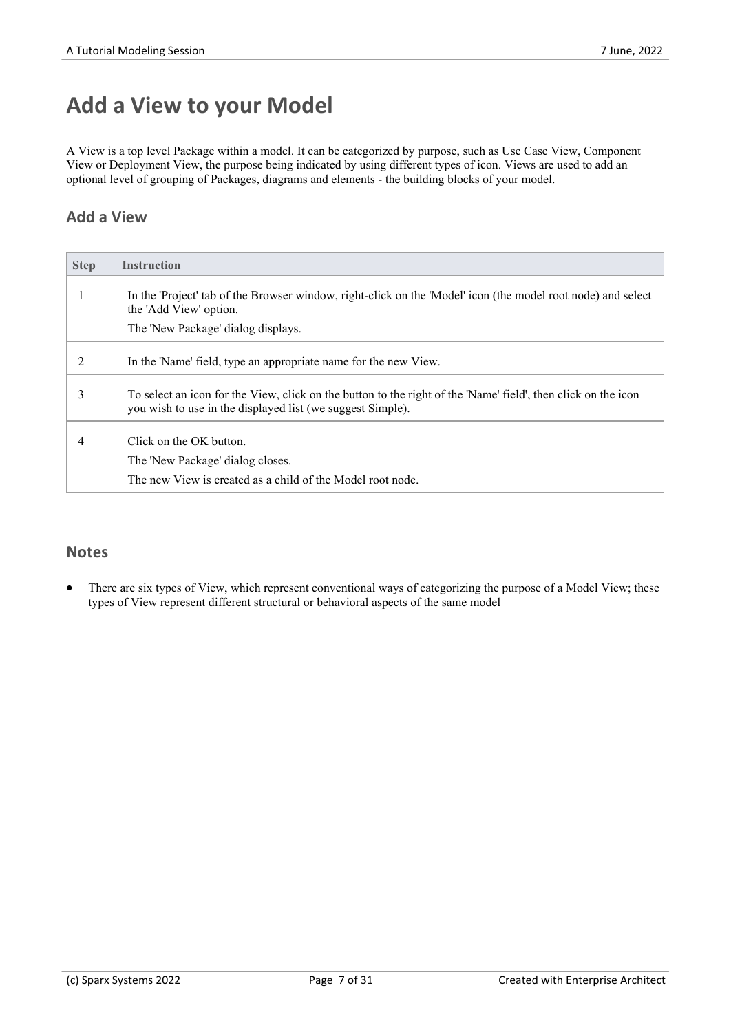# **Add a View to your Model**

A View is a top level Package within a model. It can be categorized by purpose, such as Use Case View, Component View or Deployment View, the purpose being indicated by using different types of icon. Views are used to add an optional level of grouping of Packages, diagrams and elements - the building blocks of your model.

### **Add a View**

| <b>Step</b> | <b>Instruction</b>                                                                                                                                                          |
|-------------|-----------------------------------------------------------------------------------------------------------------------------------------------------------------------------|
|             | In the 'Project' tab of the Browser window, right-click on the 'Model' icon (the model root node) and select<br>the 'Add View' option.                                      |
|             | The 'New Package' dialog displays.                                                                                                                                          |
| 2           | In the 'Name' field, type an appropriate name for the new View.                                                                                                             |
| 3           | To select an icon for the View, click on the button to the right of the 'Name' field', then click on the icon<br>you wish to use in the displayed list (we suggest Simple). |
| 4           | Click on the OK button.                                                                                                                                                     |
|             | The 'New Package' dialog closes.                                                                                                                                            |
|             | The new View is created as a child of the Model root node.                                                                                                                  |

### **Notes**

There are six types of View, which represent conventional ways of categorizing the purpose of a Model View; these types of View represent different structural or behavioral aspects of the same model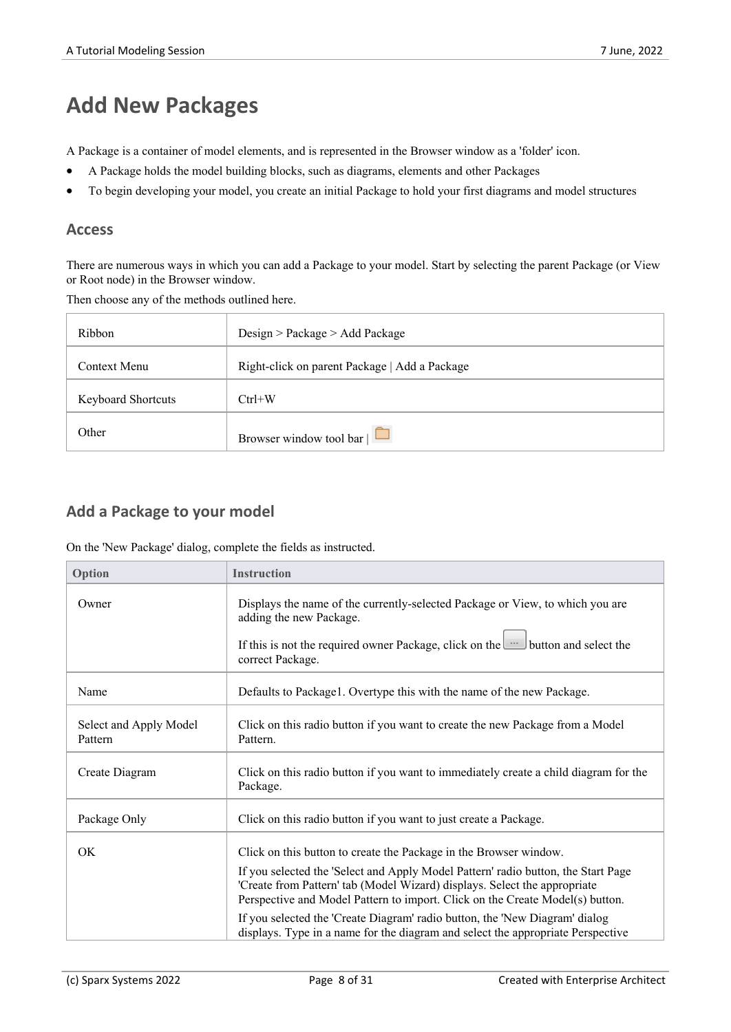# **Add New Packages**

A Package is acontainer of model elements, and is represented in the Browser window as a 'folder' icon.

- · A Package holds the model building blocks, such as diagrams, elements and other Packages
- To begin developing your model, you create an initial Package to hold your first diagrams and model structures

#### **Access**

There are numerous ways in which you can add a Package to your model. Start by selecting the parent Package (or View or Root node) in the Browser window.

Then choose any of the methods outlined here.

| Ribbon                    | Design > Package > Add Package                |
|---------------------------|-----------------------------------------------|
| Context Menu              | Right-click on parent Package   Add a Package |
| <b>Keyboard Shortcuts</b> | $Ctrl+W$                                      |
| Other                     | Browser window tool bar $\Box$                |

#### **Add a Package to your model**

On the 'New Package' dialog, complete the fields as instructed.

| Option                            | <b>Instruction</b>                                                                                                                                                                                                                              |
|-----------------------------------|-------------------------------------------------------------------------------------------------------------------------------------------------------------------------------------------------------------------------------------------------|
| Owner                             | Displays the name of the currently-selected Package or View, to which you are<br>adding the new Package.                                                                                                                                        |
|                                   | If this is not the required owner Package, click on the unit button and select the<br>correct Package.                                                                                                                                          |
| Name                              | Defaults to Package1. Overtype this with the name of the new Package.                                                                                                                                                                           |
| Select and Apply Model<br>Pattern | Click on this radio button if you want to create the new Package from a Model<br>Pattern.                                                                                                                                                       |
| Create Diagram                    | Click on this radio button if you want to immediately create a child diagram for the<br>Package.                                                                                                                                                |
| Package Only                      | Click on this radio button if you want to just create a Package.                                                                                                                                                                                |
| OK                                | Click on this button to create the Package in the Browser window.                                                                                                                                                                               |
|                                   | If you selected the 'Select and Apply Model Pattern' radio button, the Start Page<br>'Create from Pattern' tab (Model Wizard) displays. Select the appropriate<br>Perspective and Model Pattern to import. Click on the Create Model(s) button. |
|                                   | If you selected the 'Create Diagram' radio button, the 'New Diagram' dialog<br>displays. Type in a name for the diagram and select the appropriate Perspective                                                                                  |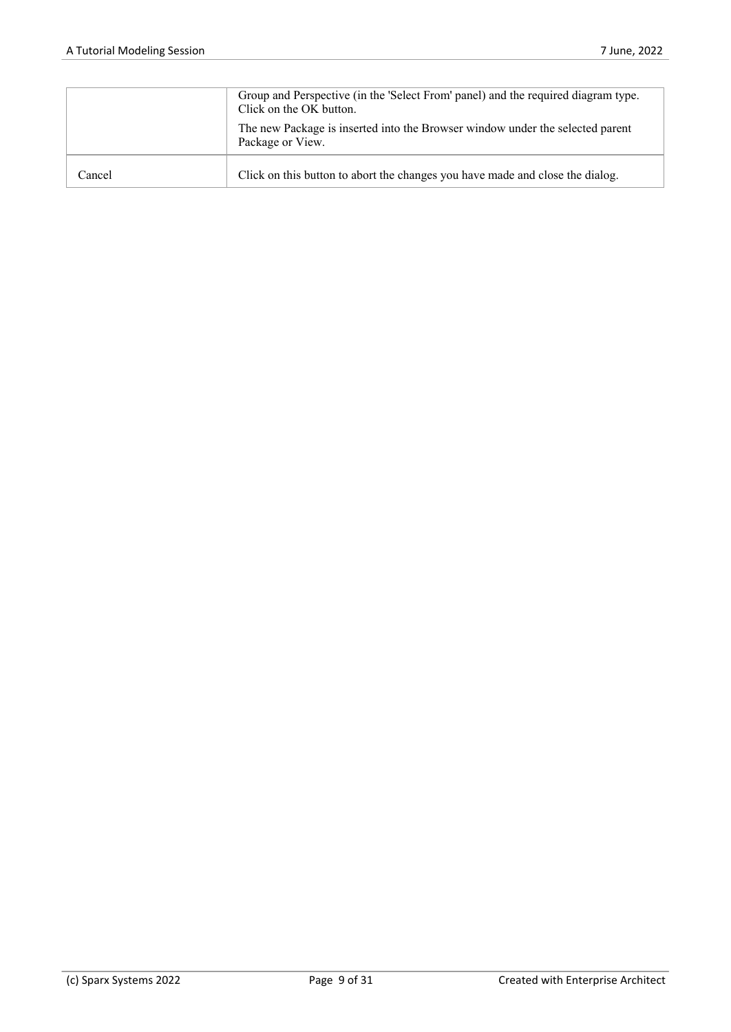|        | Group and Perspective (in the 'Select From' panel) and the required diagram type.<br>Click on the OK button. |
|--------|--------------------------------------------------------------------------------------------------------------|
|        | The new Package is inserted into the Browser window under the selected parent<br>Package or View.            |
| Cancel | Click on this button to abort the changes you have made and close the dialog.                                |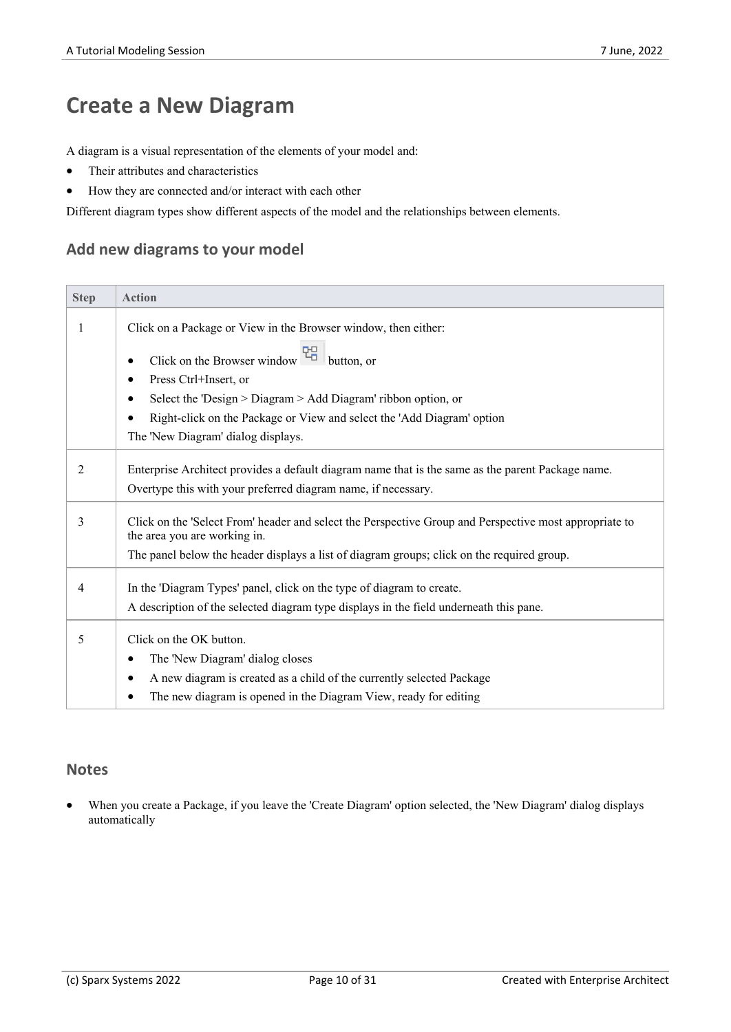# **Create a New Diagram**

A diagram is a visual representation of the elements of your model and:

- · Their attributes and characteristics
- · How they are connected and/or interact with each other

Different diagram types show different aspects of the model and the relationships between elements.

#### **Add new diagrams to your model**

| <b>Step</b> | <b>Action</b>                                                                                                                          |
|-------------|----------------------------------------------------------------------------------------------------------------------------------------|
| 1           | Click on a Package or View in the Browser window, then either:                                                                         |
|             | Click on the Browser window $\frac{P_{\Box}^{\Box}}{P_{\Box}}$<br>button, or                                                           |
|             | Press Ctrl+Insert, or<br>٠                                                                                                             |
|             | Select the 'Design > Diagram > Add Diagram' ribbon option, or                                                                          |
|             | Right-click on the Package or View and select the 'Add Diagram' option                                                                 |
|             | The 'New Diagram' dialog displays.                                                                                                     |
| 2           | Enterprise Architect provides a default diagram name that is the same as the parent Package name.                                      |
|             | Overtype this with your preferred diagram name, if necessary.                                                                          |
| 3           | Click on the 'Select From' header and select the Perspective Group and Perspective most appropriate to<br>the area you are working in. |
|             | The panel below the header displays a list of diagram groups; click on the required group.                                             |
| 4           | In the 'Diagram Types' panel, click on the type of diagram to create.                                                                  |
|             | A description of the selected diagram type displays in the field underneath this pane.                                                 |
| 5           | Click on the OK button.                                                                                                                |
|             | The 'New Diagram' dialog closes<br>٠                                                                                                   |
|             | A new diagram is created as a child of the currently selected Package                                                                  |
|             | The new diagram is opened in the Diagram View, ready for editing                                                                       |

#### **Notes**

When you create a Package, if you leave the 'Create Diagram' option selected, the 'New Diagram' dialog displays automatically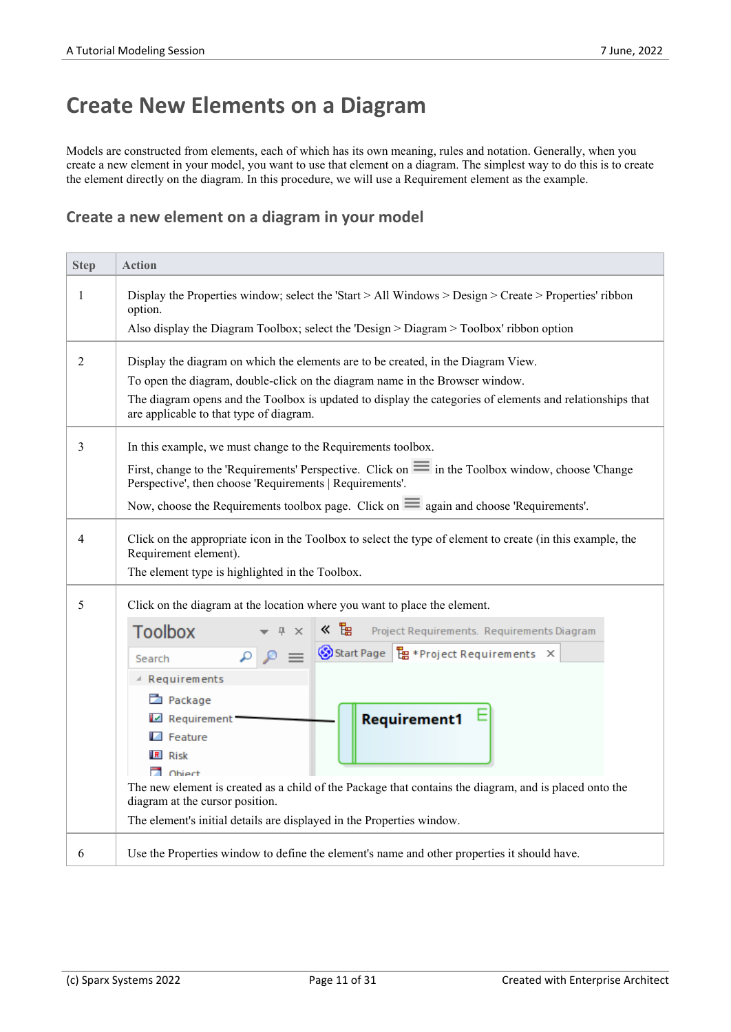# **Create New Elements on a Diagram**

Models are constructed from elements, each of which has its own meaning, rules and notation. Generally, when you create a new element in your model, you want to use that element on a diagram. The simplest way to do this is to create the element directly on the diagram. In this procedure, we will use a Requirement element as the example.

#### **Create a new element on a diagram in your model**

| <b>Step</b> | <b>Action</b>                                                                                                                                                                          |  |  |
|-------------|----------------------------------------------------------------------------------------------------------------------------------------------------------------------------------------|--|--|
| 1           | Display the Properties window; select the 'Start > All Windows > Design > Create > Properties' ribbon<br>option.                                                                       |  |  |
|             | Also display the Diagram Toolbox; select the 'Design > Diagram > Toolbox' ribbon option                                                                                                |  |  |
| 2           | Display the diagram on which the elements are to be created, in the Diagram View.                                                                                                      |  |  |
|             | To open the diagram, double-click on the diagram name in the Browser window.                                                                                                           |  |  |
|             | The diagram opens and the Toolbox is updated to display the categories of elements and relationships that<br>are applicable to that type of diagram.                                   |  |  |
| 3           | In this example, we must change to the Requirements toolbox.                                                                                                                           |  |  |
|             | First, change to the 'Requirements' Perspective. Click on $\equiv$ in the Toolbox window, choose 'Change'<br>Perspective', then choose 'Requirements   Requirements'.                  |  |  |
|             | Now, choose the Requirements toolbox page. Click on $\equiv$ again and choose 'Requirements'.                                                                                          |  |  |
| 4           | Click on the appropriate icon in the Toolbox to select the type of element to create (in this example, the<br>Requirement element).<br>The element type is highlighted in the Toolbox. |  |  |
|             |                                                                                                                                                                                        |  |  |
| 5           | Click on the diagram at the location where you want to place the element.                                                                                                              |  |  |
|             | ≪ ℡<br><b>Toolbox</b><br>Project Requirements. Requirements Diagram<br>$\times$                                                                                                        |  |  |
|             | Start Page   Eg * Project Requirements X<br>$a \alpha$<br>Search                                                                                                                       |  |  |
|             | ▲ Requirements                                                                                                                                                                         |  |  |
|             | Package                                                                                                                                                                                |  |  |
|             | <b>Requirement1</b><br>Requirement                                                                                                                                                     |  |  |
|             | $\blacksquare$ Feature                                                                                                                                                                 |  |  |
|             | $R$ Risk                                                                                                                                                                               |  |  |
|             | no Object<br>The new element is created as a child of the Package that contains the diagram, and is placed onto the                                                                    |  |  |
|             | diagram at the cursor position.                                                                                                                                                        |  |  |
|             | The element's initial details are displayed in the Properties window.                                                                                                                  |  |  |
| 6           | Use the Properties window to define the element's name and other properties it should have.                                                                                            |  |  |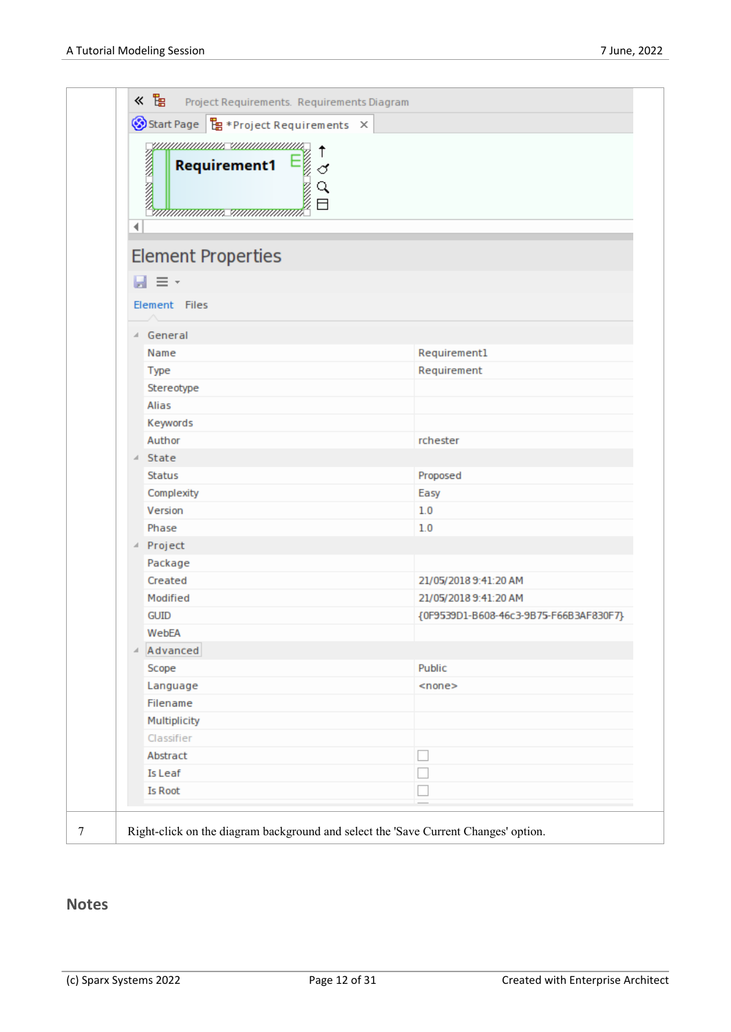|   | umm <u>ummus ummummus</u><br>↑<br>Req.<br>essa essa<br>♂<br>Q<br>日 |                                        |
|---|--------------------------------------------------------------------|----------------------------------------|
|   |                                                                    |                                        |
|   | $H \equiv r$                                                       |                                        |
|   | Element Files                                                      |                                        |
|   |                                                                    |                                        |
|   | 4 General                                                          |                                        |
|   | Name                                                               | Requirement1                           |
|   | Type                                                               | Requirement                            |
|   | Stereotype<br>Alias                                                |                                        |
|   | Keywords                                                           |                                        |
|   | Author                                                             | rchester                               |
|   | ⊿ State                                                            |                                        |
|   | <b>Status</b>                                                      | Proposed                               |
|   | Complexity                                                         | Easy                                   |
|   | Version                                                            | 1.0                                    |
|   | Phase                                                              | 1.0                                    |
|   | △ Project                                                          |                                        |
|   | Package                                                            |                                        |
|   | Created                                                            | 21/05/2018 9:41:20 AM                  |
|   | Modified                                                           | 21/05/2018 9:41:20 AM                  |
|   | <b>GUID</b>                                                        | {0F9539D1-B608-46c3-9B75-F66B3AF830F7} |
|   | WebEA                                                              |                                        |
| ⊿ | Advanced                                                           |                                        |
|   | Scope                                                              | Public                                 |
|   | Language                                                           | $<$ none $>$                           |
|   | Filename                                                           |                                        |
|   | Multiplicity                                                       |                                        |
|   | Classifier                                                         |                                        |
|   | Abstract                                                           |                                        |
|   | Is Leaf                                                            |                                        |
|   | <b>Is Root</b>                                                     |                                        |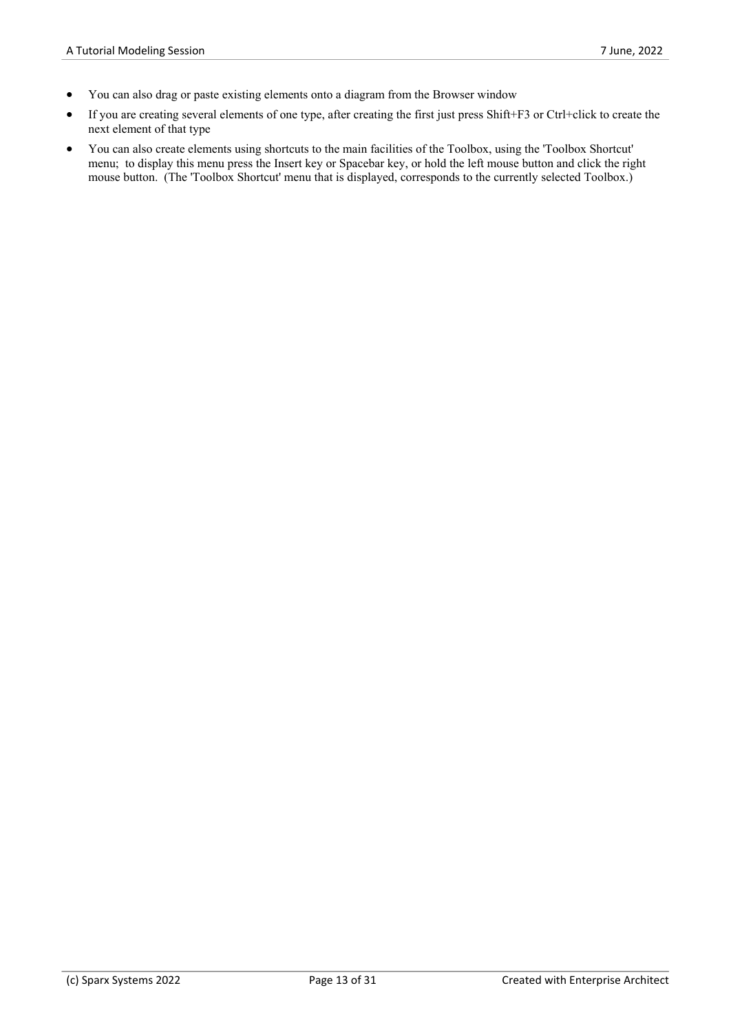- You can also drag or paste existing elements onto a diagram from the Browser window
- If you are creating several elements of one type, after creating the first just press Shift+F3 or Ctrl+click to create the next element of that type
- You can also create elements using shortcuts to the main facilities of the Toolbox, using the 'Toolbox Shortcut' menu; to display this menu press the Insert key or Spacebar key, or hold the left mouse button and click the right mouse button. (The 'Toolbox Shortcut' menu that is displayed, corresponds to the currently selected Toolbox.)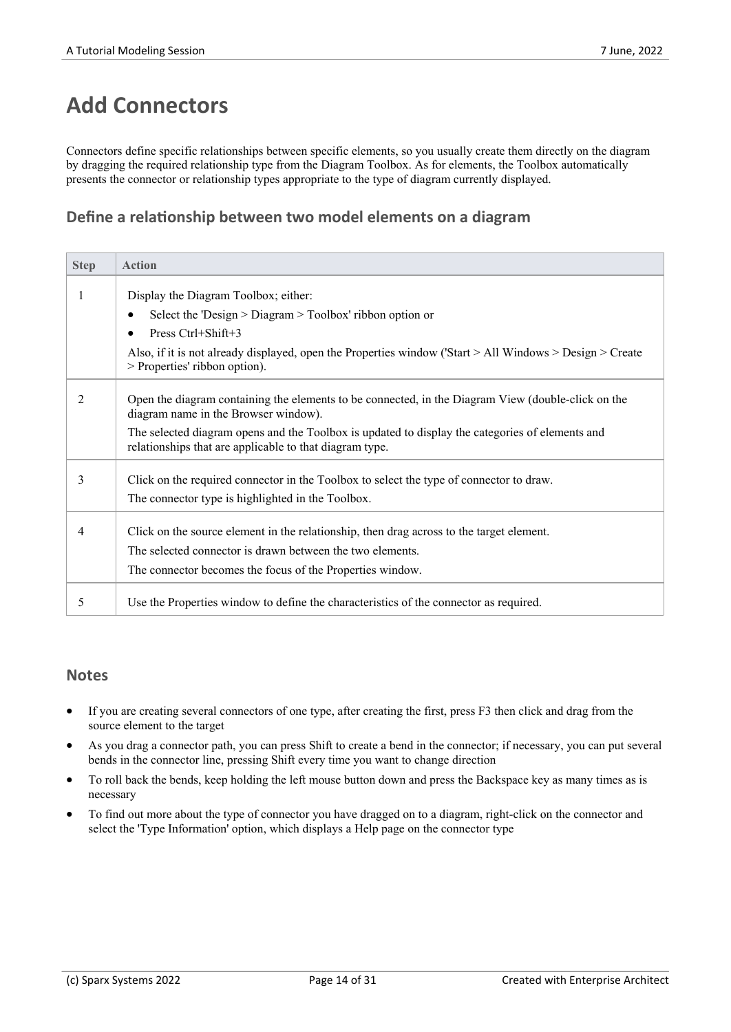# **Add Connectors**

Connectors define specific relationships between specific elements, so you usually create them directly on the diagram by dragging the required relationship type from the Diagram Toolbox. As for elements, the Toolbox automatically presents the connector or relationship types appropriate to the type of diagram currently displayed.

### **Define a relationship between two model elements on a diagram**

| <b>Step</b> | <b>Action</b>                                                                                                                                              |
|-------------|------------------------------------------------------------------------------------------------------------------------------------------------------------|
|             | Display the Diagram Toolbox; either:                                                                                                                       |
|             | Select the 'Design $>$ Diagram $>$ Toolbox' ribbon option or<br>٠                                                                                          |
|             | Press Ctrl+Shift+3<br>$\bullet$                                                                                                                            |
|             | Also, if it is not already displayed, open the Properties window ('Start $>$ All Windows $>$ Design $>$ Create<br>> Properties' ribbon option).            |
| 2           | Open the diagram containing the elements to be connected, in the Diagram View (double-click on the<br>diagram name in the Browser window).                 |
|             | The selected diagram opens and the Toolbox is updated to display the categories of elements and<br>relationships that are applicable to that diagram type. |
| 3           | Click on the required connector in the Toolbox to select the type of connector to draw.                                                                    |
|             | The connector type is highlighted in the Toolbox.                                                                                                          |
|             | Click on the source element in the relationship, then drag across to the target element.                                                                   |
|             | The selected connector is drawn between the two elements.                                                                                                  |
|             | The connector becomes the focus of the Properties window.                                                                                                  |
| 5           | Use the Properties window to define the characteristics of the connector as required.                                                                      |

- If you are creating several connectors of one type, after creating the first, press F3 then click and drag from the source element to the target
- · As you drag a connector path, you can press Shift to create a bend in the connector; if necessary, you can put several bends in the connector line, pressing Shift every time you want to change direction
- · To roll back the bends, keep holding the left mouse button down and press the Backspace key as many times as is necessary
- · To find out more about the type of connector you have dragged on to a diagram, right-click on the connector and select the 'Type Information' option, which displays a Help page on the connector type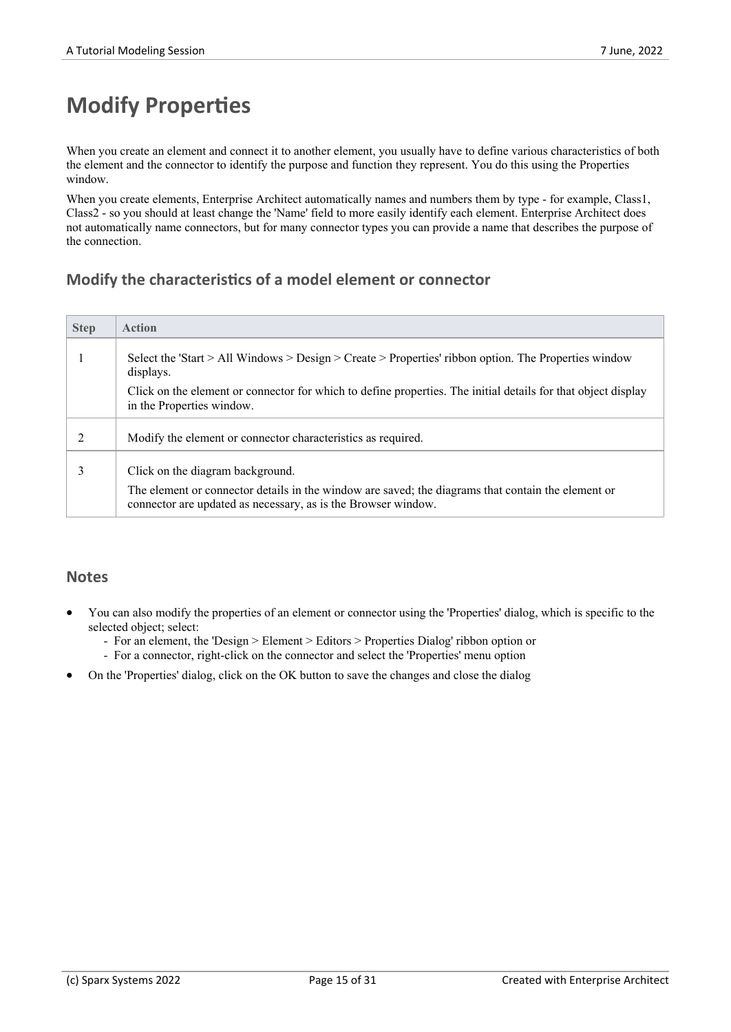# **Modify Properties**

When you create an element and connect it to another element, you usually have to define various characteristics of both the element and the connector to identify the purpose and function they represent. You do this using the Properties window.

When you create elements, Enterprise Architect automatically names and numbers them by type - for example, Class1, Class2 - so you should at least change the 'Name' field to more easily identify each element. Enterprise Architect does not automatically name connectors, but for many connector types you can provide a name that describes the purpose of the connection.

### **Modify the characteristics of a model element or connector**

| <b>Step</b> | <b>Action</b>                                                                                                                                                                                           |
|-------------|---------------------------------------------------------------------------------------------------------------------------------------------------------------------------------------------------------|
|             | Select the 'Start > All Windows > Design > Create > Properties' ribbon option. The Properties window<br>displays.                                                                                       |
|             | Click on the element or connector for which to define properties. The initial details for that object display<br>in the Properties window.                                                              |
|             | Modify the element or connector characteristics as required.                                                                                                                                            |
| 3           | Click on the diagram background.<br>The element or connector details in the window are saved; the diagrams that contain the element or<br>connector are updated as necessary, as is the Browser window. |

- You can also modify the properties of an element or connector using the 'Properties' dialog, which is specific to the selected object; select:
	- For an element, the 'Design > Element > Editors > Properties Dialog' ribbon option or
	- For a connector, right-click on the connector and select the 'Properties' menu option
- · On the 'Properties' dialog, click on the OK button to save the changes and close the dialog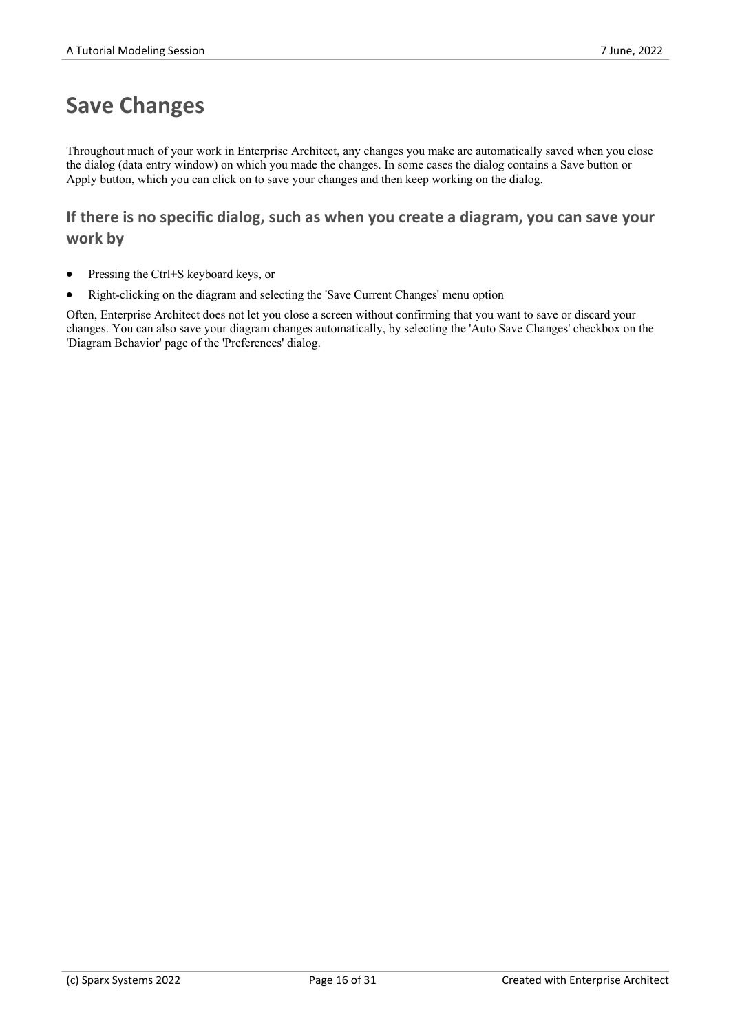## **Save Changes**

Throughout much of yourwork in Enterprise Architect, any changes you make are automatically saved when you close the dialog (data entry window) on which you made the changes.In some cases the dialog contains a Save button or Apply button, which you can click on to save your changes and then keep working on the dialog.

### **If there is no specific dialog, such as when you create a diagram,you can save your work by**

- Pressing the Ctrl+S keyboard keys, or
- · Right-clicking on the diagram and selecting the 'Save Current Changes' menu option

Often, Enterprise Architect does not let you close a screen without confirming that you want to save ordiscard your changes. You can also save your diagram changes automatically, by selecting the 'Auto Save Changes' checkbox on the 'Diagram Behavior' page of the 'Preferences' dialog.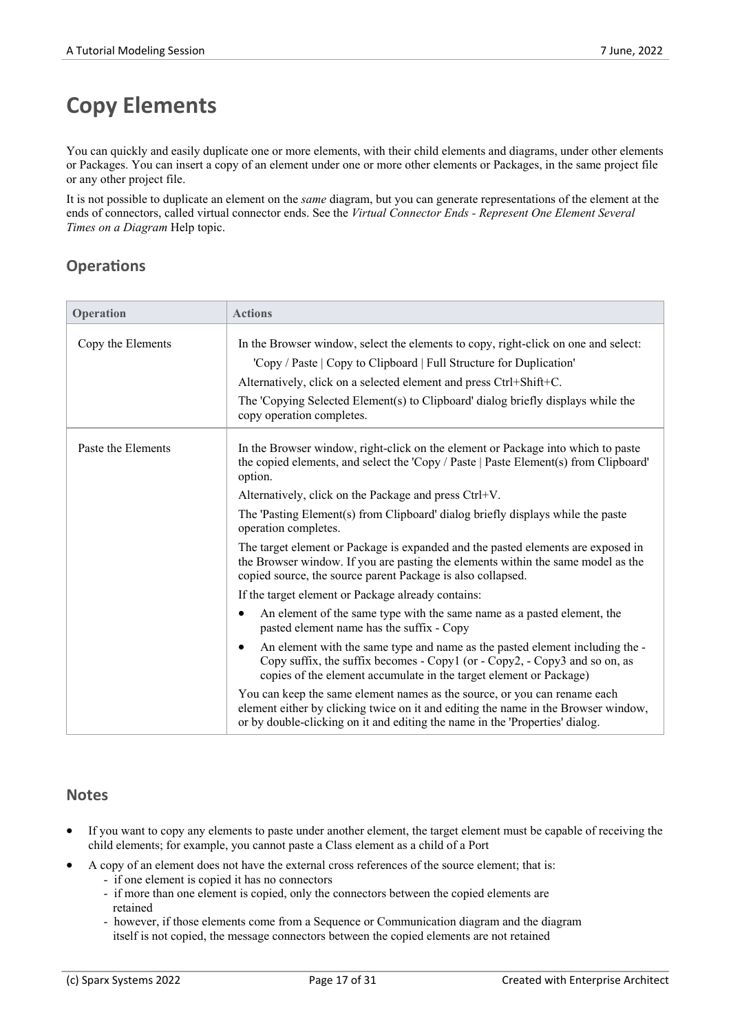# **Copy Elements**

You can quickly and easily duplicate one or more elements, with their child elements and diagrams, under other elements or Packages. You can insert a copy of an element under one or more other elements or Packages, in the same project file or any other project file.

It is not possible to duplicate an element on the *same* diagram, but you can generate representations of the element at the ends ofconnectors, called virtual connector ends. See the *Virtual Connector Ends - Represent One Element Several Times on a Diagram* Help topic.

### **Operations**

| Operation          | <b>Actions</b>                                                                                                                                                                                                                                                                                                                                   |
|--------------------|--------------------------------------------------------------------------------------------------------------------------------------------------------------------------------------------------------------------------------------------------------------------------------------------------------------------------------------------------|
| Copy the Elements  | In the Browser window, select the elements to copy, right-click on one and select:<br>'Copy / Paste   Copy to Clipboard   Full Structure for Duplication'<br>Alternatively, click on a selected element and press Ctrl+Shift+C.<br>The 'Copying Selected Element(s) to Clipboard' dialog briefly displays while the<br>copy operation completes. |
| Paste the Elements | In the Browser window, right-click on the element or Package into which to paste<br>the copied elements, and select the 'Copy / Paste   Paste Element(s) from Clipboard'<br>option.                                                                                                                                                              |
|                    | Alternatively, click on the Package and press Ctrl+V.                                                                                                                                                                                                                                                                                            |
|                    | The 'Pasting Element(s) from Clipboard' dialog briefly displays while the paste<br>operation completes.                                                                                                                                                                                                                                          |
|                    | The target element or Package is expanded and the pasted elements are exposed in<br>the Browser window. If you are pasting the elements within the same model as the<br>copied source, the source parent Package is also collapsed.                                                                                                              |
|                    | If the target element or Package already contains:                                                                                                                                                                                                                                                                                               |
|                    | An element of the same type with the same name as a pasted element, the<br>$\bullet$<br>pasted element name has the suffix - Copy                                                                                                                                                                                                                |
|                    | An element with the same type and name as the pasted element including the -<br>٠<br>Copy suffix, the suffix becomes - Copy1 (or - Copy2, - Copy3 and so on, as<br>copies of the element accumulate in the target element or Package)                                                                                                            |
|                    | You can keep the same element names as the source, or you can rename each<br>element either by clicking twice on it and editing the name in the Browser window,<br>or by double-clicking on it and editing the name in the 'Properties' dialog.                                                                                                  |

- If you want to copy any elements to paste under another element, the target element must be capable of receiving the child elements; for example, you cannot paste a Class element as a child of a Port
- A copy of an element does not have the external cross references of the source element; that is:
	- if one element is copied it has no connectors
	- if more than one element is copied, only the connectors between the copied elements are retained
	- however, if those elements come from a Sequence or Communication diagram and the diagram itself is not copied, the message connectors between the copied elements are not retained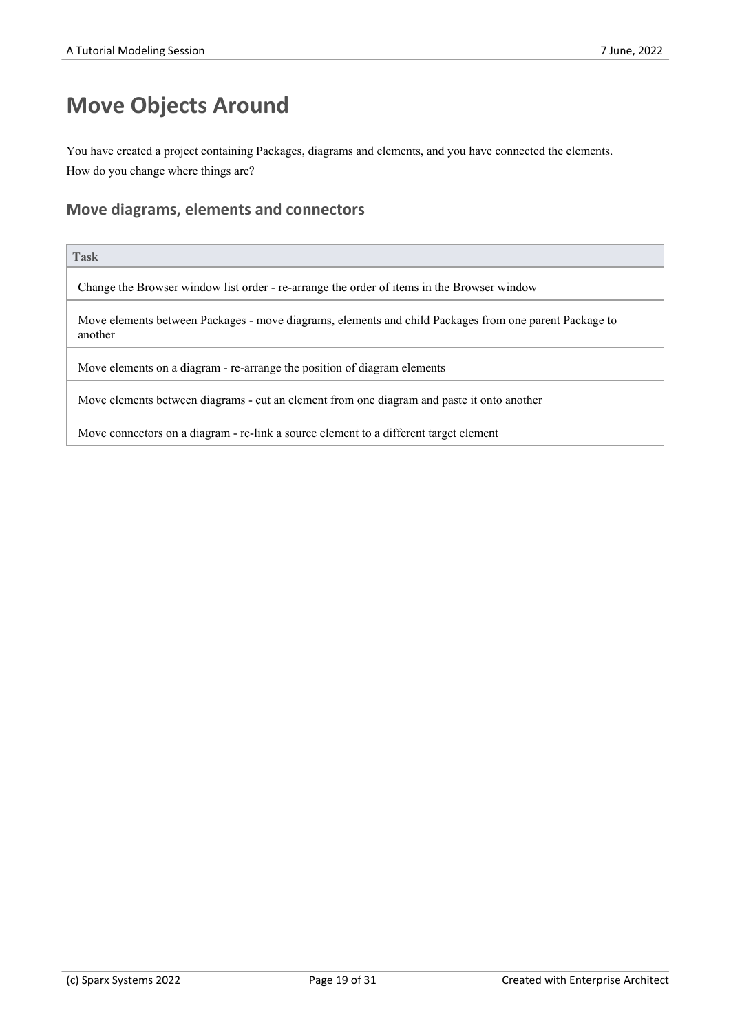# **Move Objects Around**

You have created a project containing Packages, diagrams and elements, and you have connected the elements. How do you change where things are?

### **Move diagrams, elements and connectors**

#### **Task**

Change the Browser window list order - re-arrange the order of items in the Browser window

Move elements between Packages - move diagrams, elements and child Packages from one parent Package to another

Move elements on a diagram - re-arrange the position of diagram elements

Move elements between diagrams - cut an element from one diagram and paste it onto another

Move connectors on a diagram - re-link a source element to a different target element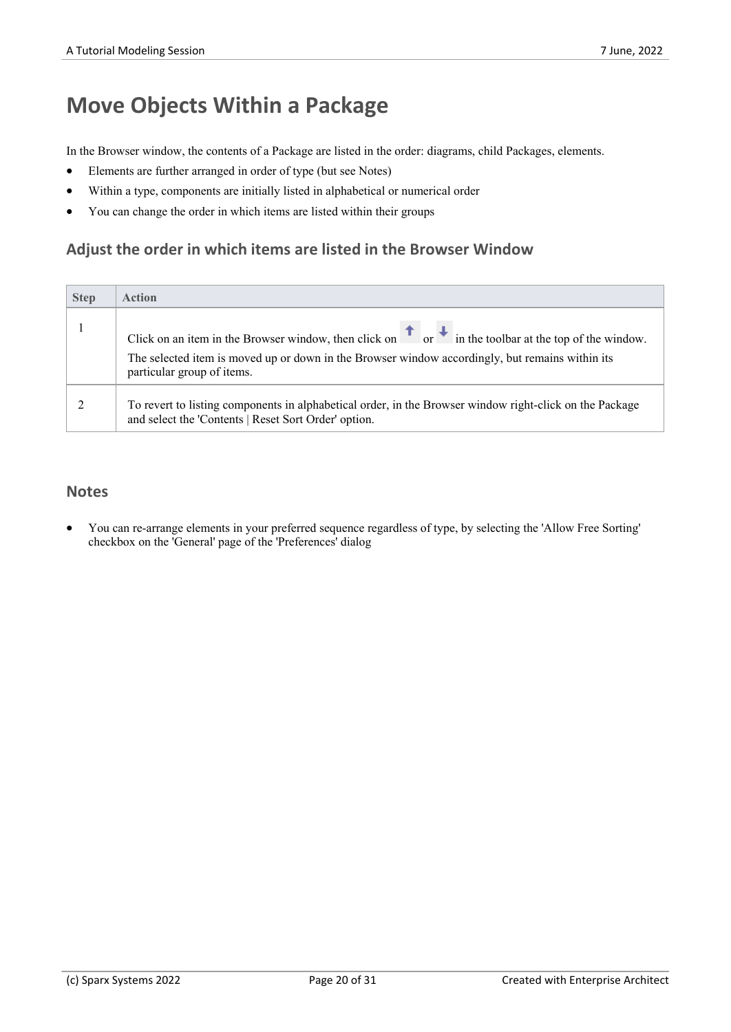# **Move Objects Within a Package**

In the Browser window, the contents of a Package are listed in the order: diagrams, child Packages, elements.

- Elements are further arranged in order of type (but see Notes)
- Within a type, components are initially listed in alphabetical or numerical order
- · You can change the order in which items are listed within their groups

### **Adjust the order in which items are listed in the Browser Window**

| <b>Step</b> | <b>Action</b>                                                                                                                                                                                                                                                    |
|-------------|------------------------------------------------------------------------------------------------------------------------------------------------------------------------------------------------------------------------------------------------------------------|
|             | Click on an item in the Browser window, then click on $\overline{a}$ or $\overline{a}$ in the toolbar at the top of the window.<br>The selected item is moved up or down in the Browser window accordingly, but remains within its<br>particular group of items. |
|             | To revert to listing components in alphabetical order, in the Browser window right-click on the Package<br>and select the 'Contents   Reset Sort Order' option.                                                                                                  |

#### **Notes**

You can re-arrange elements in your preferred sequence regardless of type, by selecting the 'Allow Free Sorting' checkbox on the 'General' page of the 'Preferences' dialog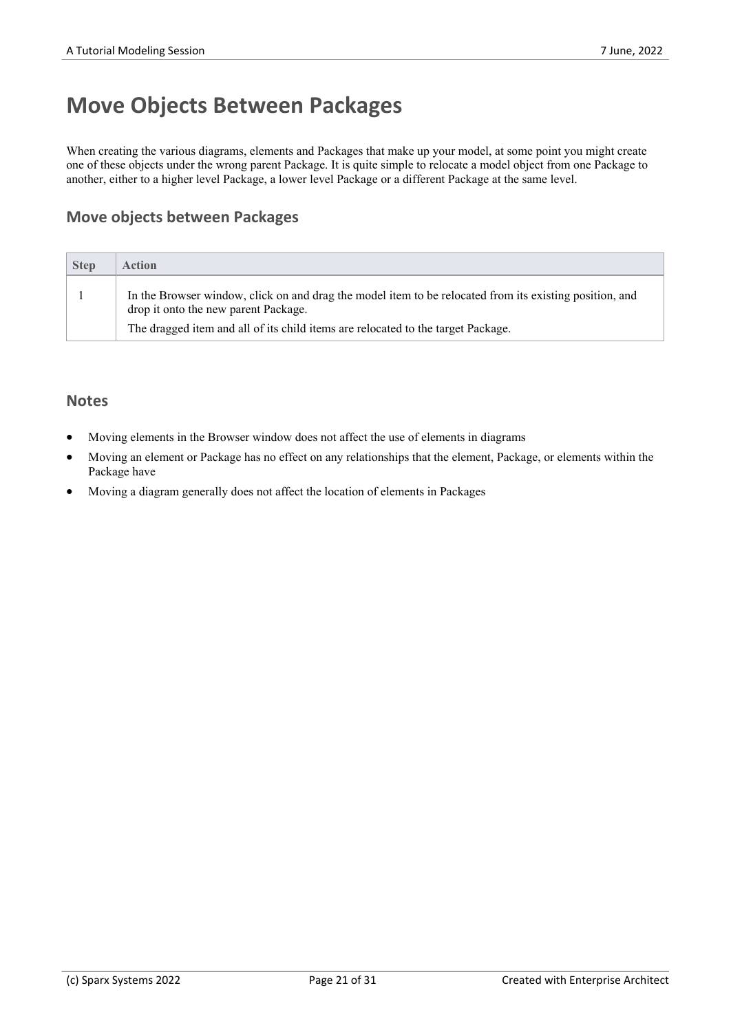# **Move Objects Between Packages**

When creating the various diagrams, elements and Packages that make up your model, at some point you might create one of these objects under the wrong parent Package. It is quite simple to relocate a model object from one Package to another, either to a higher level Package, a lower level Package or a different Package at the same level.

### **Move objects between Packages**

| <b>Step</b> | Action                                                                                                                                          |
|-------------|-------------------------------------------------------------------------------------------------------------------------------------------------|
|             | In the Browser window, click on and drag the model item to be relocated from its existing position, and<br>drop it onto the new parent Package. |
|             | The dragged item and all of its child items are relocated to the target Package.                                                                |

- Moving elements in the Browser window does not affect the use of elements in diagrams
- Moving an element or Package has no effect on any relationships that the element, Package, or elements within the Package have
- Moving a diagram generally does not affect the location of elements in Packages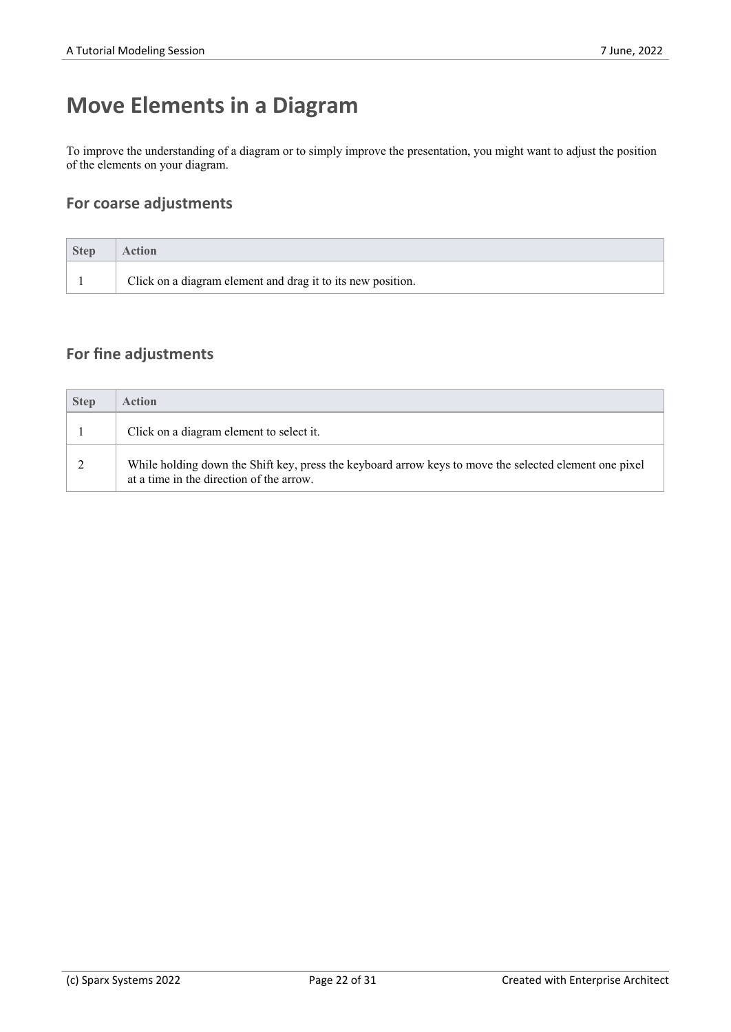# **Move Elements in a Diagram**

To improve the understanding of a diagram or to simply improve the presentation, you might want to adjust the position of the elements on your diagram.

### **For coarse adjustments**

| <b>Step</b> | <b>Action</b>                                               |
|-------------|-------------------------------------------------------------|
|             | Click on a diagram element and drag it to its new position. |

### **For fine adjustments**

| <b>Step</b> | Action                                                                                                                                             |
|-------------|----------------------------------------------------------------------------------------------------------------------------------------------------|
|             | Click on a diagram element to select it.                                                                                                           |
|             | While holding down the Shift key, press the keyboard arrow keys to move the selected element one pixel<br>at a time in the direction of the arrow. |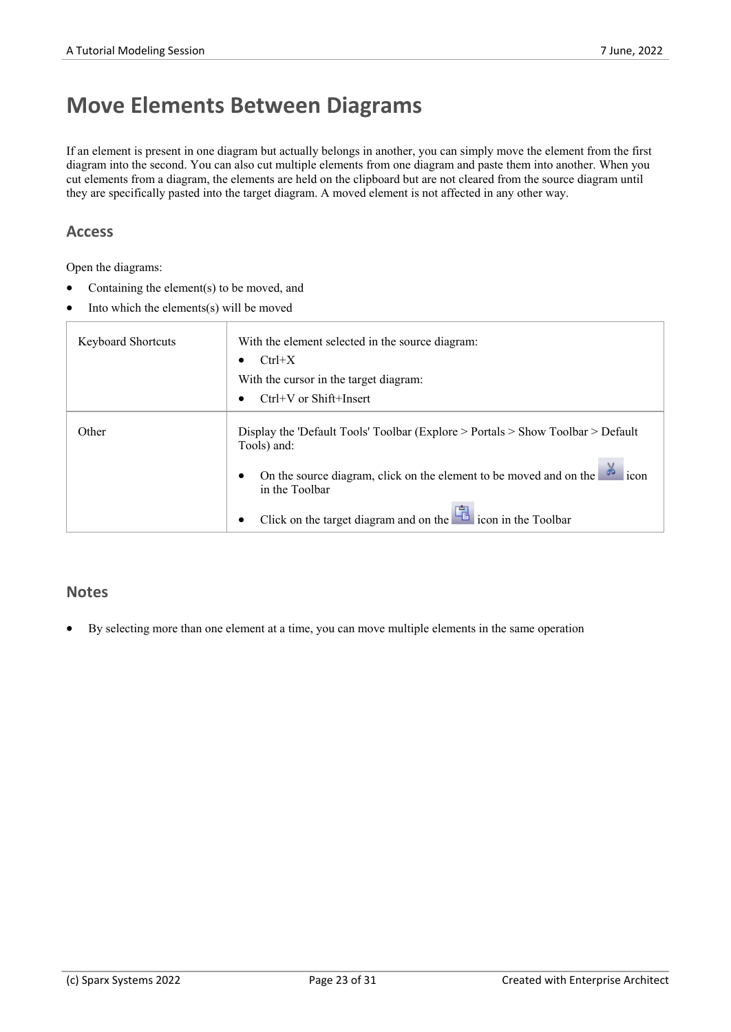## **Move Elements Between Diagrams**

If an element is present in one diagram but actually belongs in another, you can simply move the element from the first diagram into the second.You can also cut multiple elements from one diagram and paste them into another. When you cut elements from a diagram, the elements are held on the clipboard but are not cleared from the source diagram until they are specifically pasted into the target diagram. A moved element is not affected in any other way.

#### **Access**

Open the diagrams:

- Containing the element(s) to be moved, and
- Into which the elements $(s)$  will be moved

| <b>Keyboard Shortcuts</b> | With the element selected in the source diagram:<br>$Ctrl+X$                                             |  |
|---------------------------|----------------------------------------------------------------------------------------------------------|--|
|                           | With the cursor in the target diagram:<br>$Ctrl+V$ or Shift+Insert                                       |  |
| Other                     | Display the 'Default Tools' Toolbar (Explore $>$ Portals $>$ Show Toolbar $>$ Default<br>Tools) and:     |  |
|                           | On the source diagram, click on the element to be moved and on the $\frac{3}{20}$ icon<br>in the Toolbar |  |
|                           |                                                                                                          |  |

#### **Notes**

· By selecting more than one element at a time, you can move multiple elements in the same operation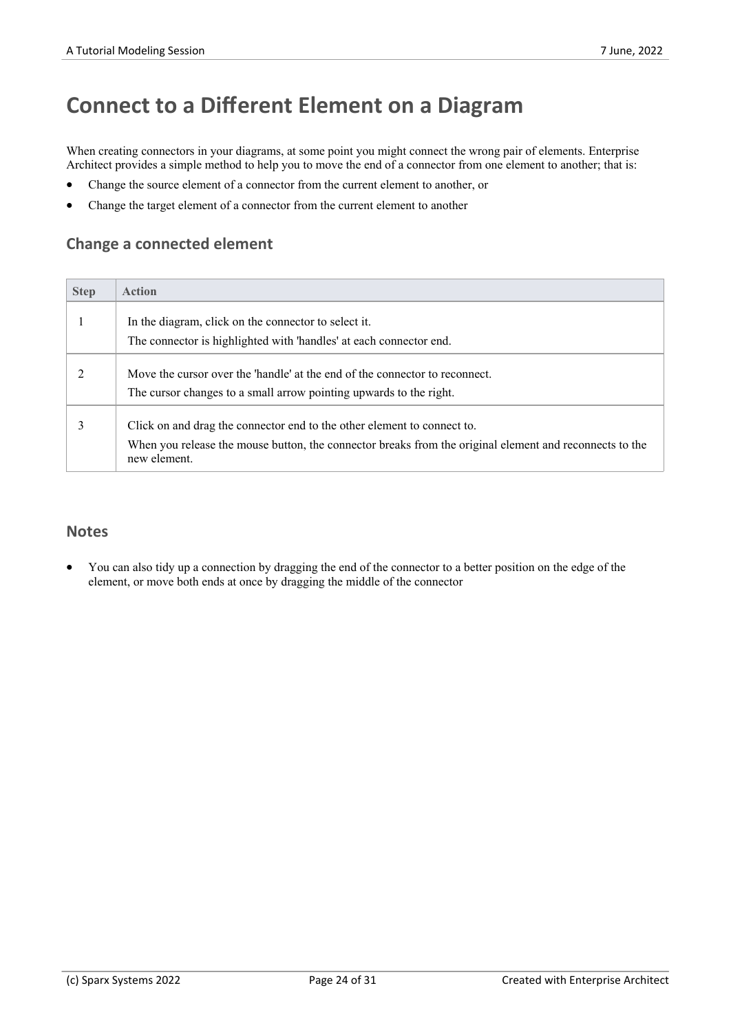# **Connect to a Different Element on a Diagram**

When creating connectors in your diagrams, at some point you might connect the wrong pair of elements. Enterprise Architect provides a simple method to help you to move the end of a connector from one element to another; that is:

- · Change the source element of a connector from the current element to another, or
- Change the target element of a connector from the current element to another

#### **Change a connected element**

| <b>Step</b> | <b>Action</b>                                                                                                                                                                                      |
|-------------|----------------------------------------------------------------------------------------------------------------------------------------------------------------------------------------------------|
|             | In the diagram, click on the connector to select it.                                                                                                                                               |
|             | The connector is highlighted with 'handles' at each connector end.                                                                                                                                 |
|             | Move the cursor over the 'handle' at the end of the connector to reconnect.<br>The cursor changes to a small arrow pointing upwards to the right.                                                  |
|             | Click on and drag the connector end to the other element to connect to.<br>When you release the mouse button, the connector breaks from the original element and reconnects to the<br>new element. |

#### **Notes**

· You can also tidy up a connection by dragging the end of the connector to a better position on the edge of the element, or move both ends at once by dragging the middle of the connector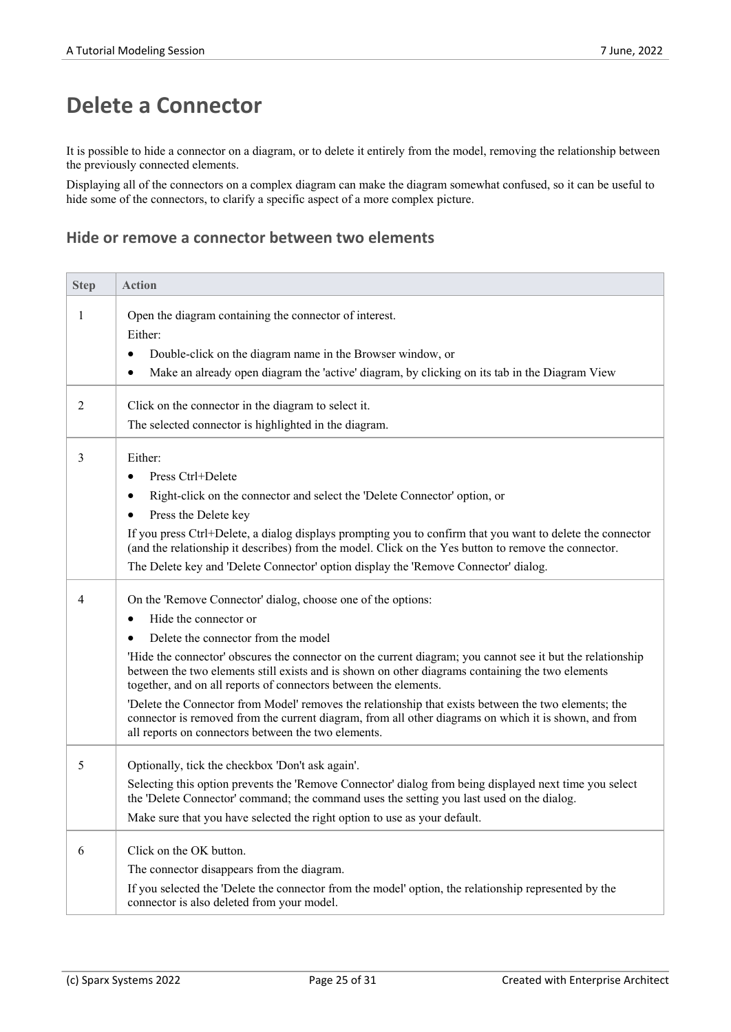## **Delete a Connector**

It is possible to hide a connector on a diagram, or to delete it entirely from the model, removing the relationship between the previously connected elements.

Displaying all of the connectors on a complex diagram can make the diagram somewhat confused, so it can be useful to hide some of the connectors, to clarify a specific aspect of a more complex picture.

### **Hide or remove a connector between two elements**

| <b>Step</b>    | <b>Action</b>                                                                                                                                                                                                                                                                                                                                                                                                                                                                                                                                                                                                                                                                                                |
|----------------|--------------------------------------------------------------------------------------------------------------------------------------------------------------------------------------------------------------------------------------------------------------------------------------------------------------------------------------------------------------------------------------------------------------------------------------------------------------------------------------------------------------------------------------------------------------------------------------------------------------------------------------------------------------------------------------------------------------|
| $\mathbf{1}$   | Open the diagram containing the connector of interest.<br>Either:<br>Double-click on the diagram name in the Browser window, or<br>٠<br>Make an already open diagram the 'active' diagram, by clicking on its tab in the Diagram View<br>٠                                                                                                                                                                                                                                                                                                                                                                                                                                                                   |
| 2              | Click on the connector in the diagram to select it.<br>The selected connector is highlighted in the diagram.                                                                                                                                                                                                                                                                                                                                                                                                                                                                                                                                                                                                 |
| 3              | Either:<br>Press Ctrl+Delete<br>$\bullet$<br>Right-click on the connector and select the 'Delete Connector' option, or<br>٠<br>Press the Delete key<br>٠<br>If you press Ctrl+Delete, a dialog displays prompting you to confirm that you want to delete the connector<br>(and the relationship it describes) from the model. Click on the Yes button to remove the connector.<br>The Delete key and 'Delete Connector' option display the 'Remove Connector' dialog.                                                                                                                                                                                                                                        |
| $\overline{4}$ | On the 'Remove Connector' dialog, choose one of the options:<br>Hide the connector or<br>$\bullet$<br>Delete the connector from the model<br>٠<br>'Hide the connector' obscures the connector on the current diagram; you cannot see it but the relationship<br>between the two elements still exists and is shown on other diagrams containing the two elements<br>together, and on all reports of connectors between the elements.<br>'Delete the Connector from Model' removes the relationship that exists between the two elements; the<br>connector is removed from the current diagram, from all other diagrams on which it is shown, and from<br>all reports on connectors between the two elements. |
| 5              | Optionally, tick the checkbox 'Don't ask again'.<br>Selecting this option prevents the 'Remove Connector' dialog from being displayed next time you select<br>the 'Delete Connector' command; the command uses the setting you last used on the dialog.<br>Make sure that you have selected the right option to use as your default.                                                                                                                                                                                                                                                                                                                                                                         |
| 6              | Click on the OK button.<br>The connector disappears from the diagram.<br>If you selected the 'Delete the connector from the model' option, the relationship represented by the<br>connector is also deleted from your model.                                                                                                                                                                                                                                                                                                                                                                                                                                                                                 |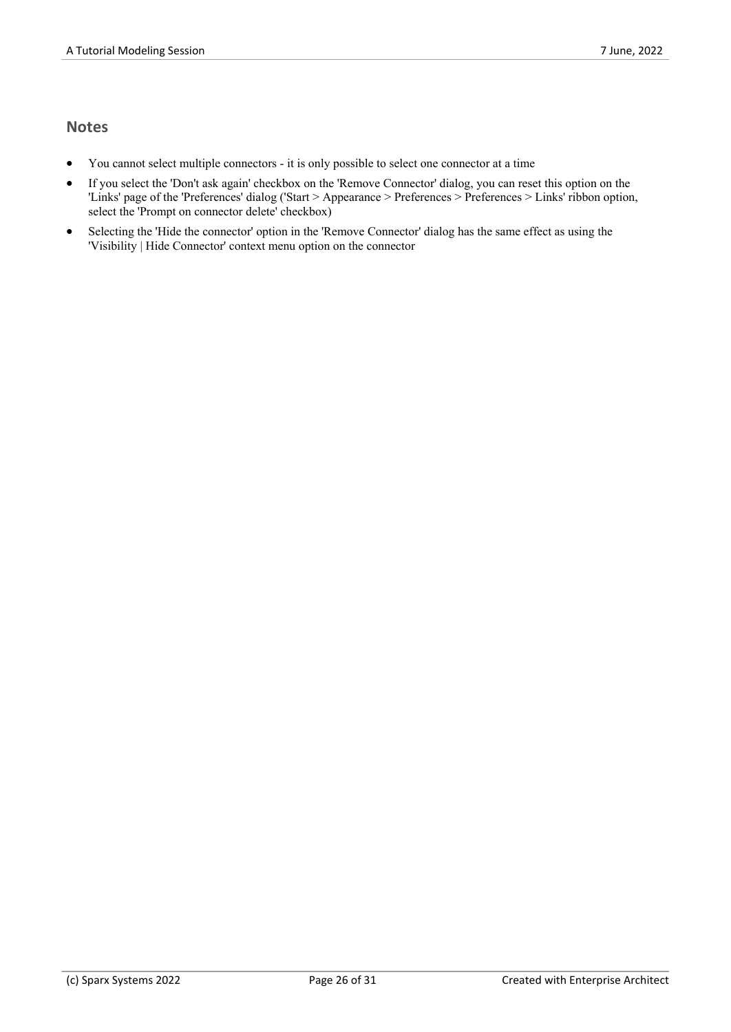- · You cannot select multiple connectors it is only possible to select one connector at a time
- If you select the 'Don't ask again' checkbox on the 'Remove Connector' dialog, you can reset this option on the 'Links' page of the 'Preferences' dialog ('Start > Appearance > Preferences > Preferences > Links' ribbon option, select the 'Prompt on connector delete' checkbox)
- Selecting the 'Hide the connector' option in the 'Remove Connector' dialog has the same effect as using the 'Visibility | Hide Connector' context menu option on the connector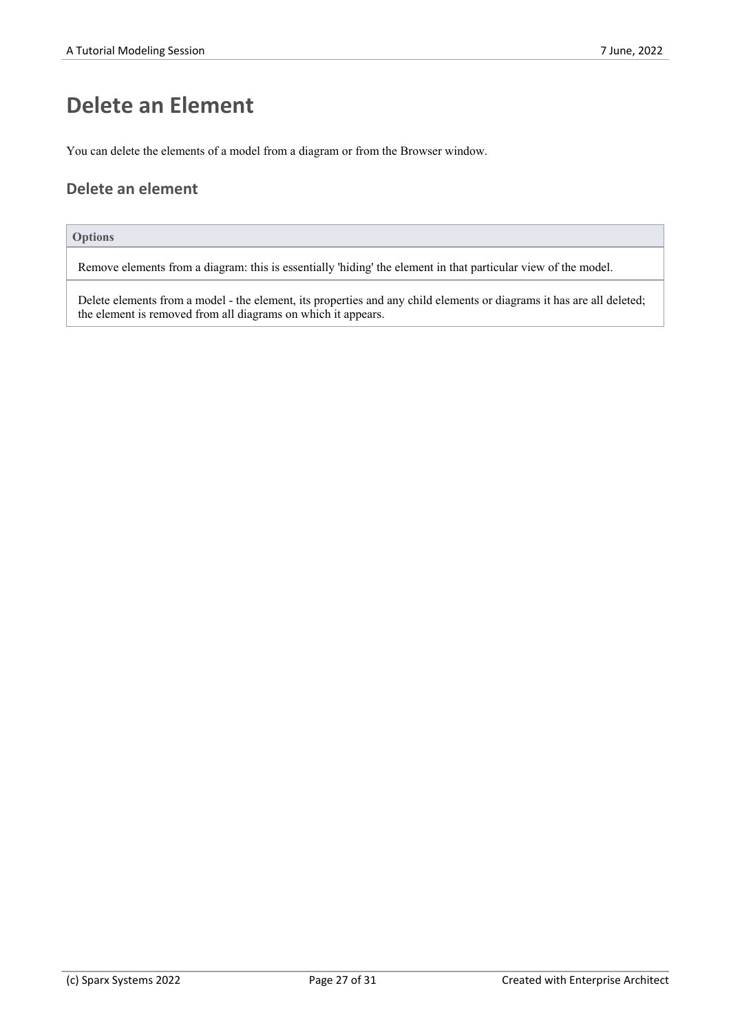# **Delete an Element**

You can delete the elements of a model from a diagram or from the Browser window.

### **Delete an element**

#### **Options**

Remove elements from a diagram: this is essentially 'hiding' the element in that particular view of the model.

Delete elements from a model - the element, its properties and any child elements or diagrams it has are all deleted; the element is removed from all diagrams on which it appears.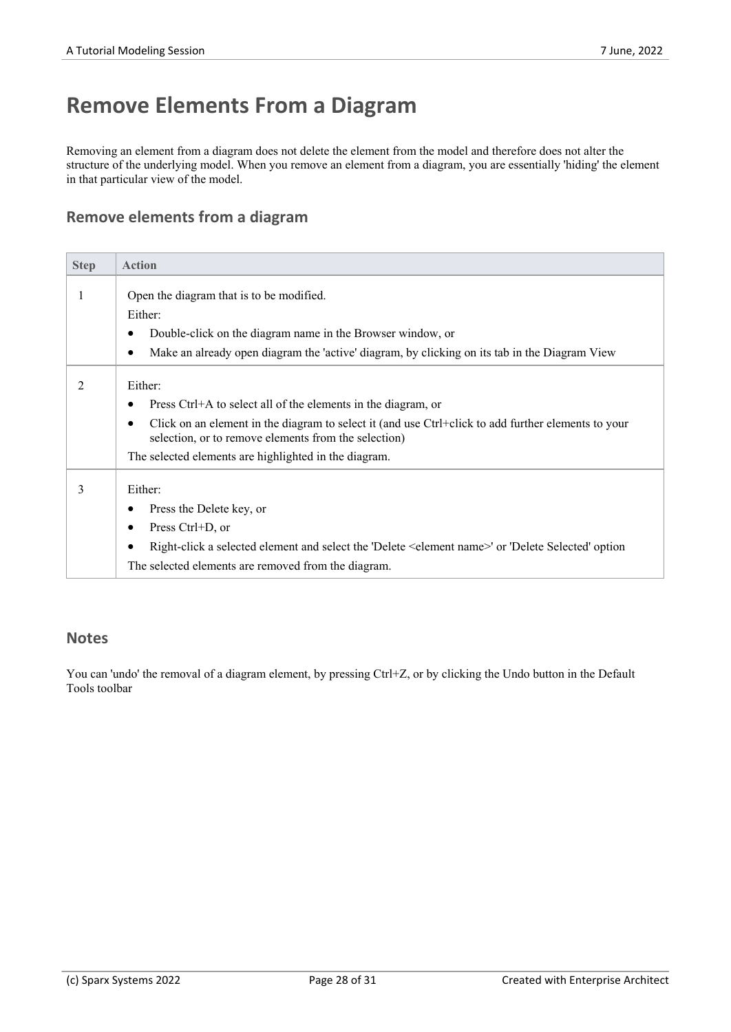# **Remove Elements From a Diagram**

Removing an element from a diagram does not delete the element from the model and therefore does not alter the structure of the underlying model. When you remove an element from a diagram, you are essentially 'hiding' the element in that particular view of the model.

### **Remove elements from a diagram**

| <b>Step</b> | <b>Action</b>                                                                                                                                                            |
|-------------|--------------------------------------------------------------------------------------------------------------------------------------------------------------------------|
|             | Open the diagram that is to be modified.                                                                                                                                 |
|             | Either:                                                                                                                                                                  |
|             | Double-click on the diagram name in the Browser window, or                                                                                                               |
|             | Make an already open diagram the 'active' diagram, by clicking on its tab in the Diagram View<br>$\bullet$                                                               |
| 2           | Either:                                                                                                                                                                  |
|             | Press Ctrl+A to select all of the elements in the diagram, or                                                                                                            |
|             | Click on an element in the diagram to select it (and use Ctrl+click to add further elements to your<br>$\bullet$<br>selection, or to remove elements from the selection) |
|             | The selected elements are highlighted in the diagram.                                                                                                                    |
| 3           | Either:                                                                                                                                                                  |
|             | Press the Delete key, or                                                                                                                                                 |
|             | Press Ctrl+D, or<br>٠                                                                                                                                                    |
|             | Right-click a selected element and select the 'Delete <element name="">' or 'Delete Selected' option<br/><math>\bullet</math></element>                                  |
|             | The selected elements are removed from the diagram.                                                                                                                      |

#### **Notes**

You can 'undo' the removal of a diagram element, by pressing Ctrl+Z, or by clicking the Undo button in the Default Tools toolbar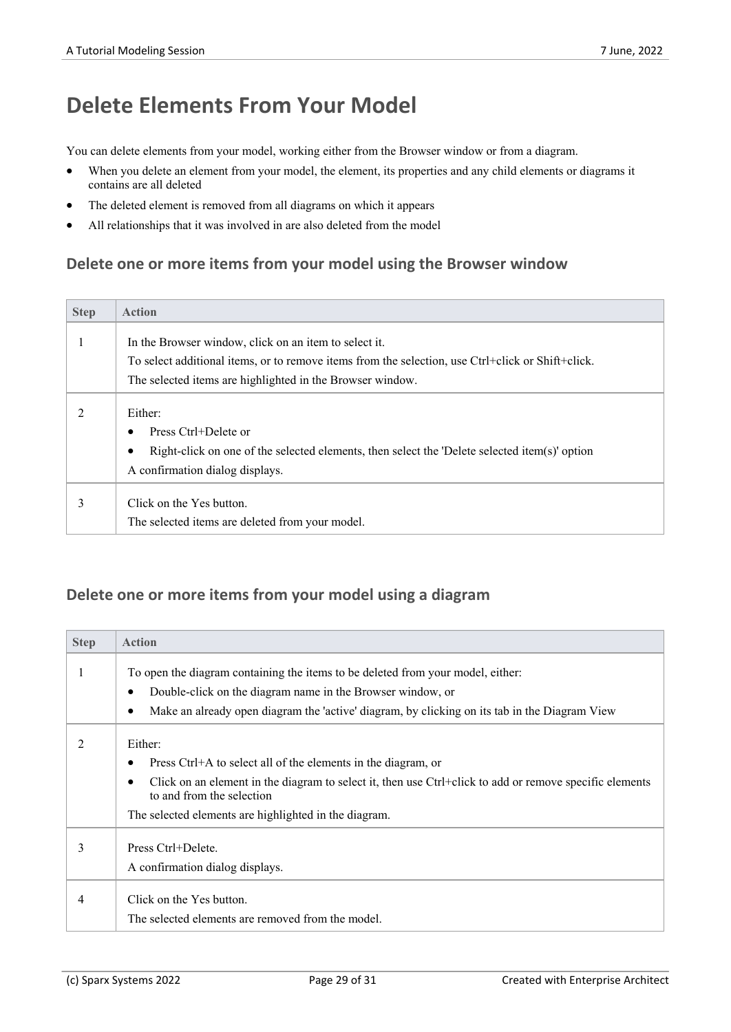# **Delete Elements From Your Model**

You can delete elements from your model, working either from the Browser window or from a diagram.

- When you delete an element from your model, the element, its properties and any child elements or diagrams it contains are all deleted
- The deleted element is removed from all diagrams on which it appears
- All relationships that it was involved in are also deleted from the model

### **Delete one or more items from your model using the Browser window**

| <b>Step</b>   | <b>Action</b>                                                                                                                                                                         |
|---------------|---------------------------------------------------------------------------------------------------------------------------------------------------------------------------------------|
|               | In the Browser window, click on an item to select it.<br>To select additional items, or to remove items from the selection, use Ctrl+click or Shift+click.                            |
|               | The selected items are highlighted in the Browser window.                                                                                                                             |
| $\mathcal{L}$ | Either:<br>Press Ctrl+Delete or<br>$\bullet$<br>Right-click on one of the selected elements, then select the 'Delete selected item(s)' option<br>٠<br>A confirmation dialog displays. |
|               | Click on the Yes button.<br>The selected items are deleted from your model.                                                                                                           |

### **Delete one or more items from your model using a diagram**

| <b>Step</b> | <b>Action</b>                                                                                                                                                                                                                                                                               |
|-------------|---------------------------------------------------------------------------------------------------------------------------------------------------------------------------------------------------------------------------------------------------------------------------------------------|
|             | To open the diagram containing the items to be deleted from your model, either:<br>Double-click on the diagram name in the Browser window, or<br>$\bullet$<br>Make an already open diagram the 'active' diagram, by clicking on its tab in the Diagram View<br>٠                            |
| 2           | Either:<br>Press Ctrl+A to select all of the elements in the diagram, or<br>٠<br>Click on an element in the diagram to select it, then use Ctrl+click to add or remove specific elements<br>$\bullet$<br>to and from the selection<br>The selected elements are highlighted in the diagram. |
| 3           | Press Ctrl+Delete.<br>A confirmation dialog displays.                                                                                                                                                                                                                                       |
| 4           | Click on the Yes button.<br>The selected elements are removed from the model.                                                                                                                                                                                                               |